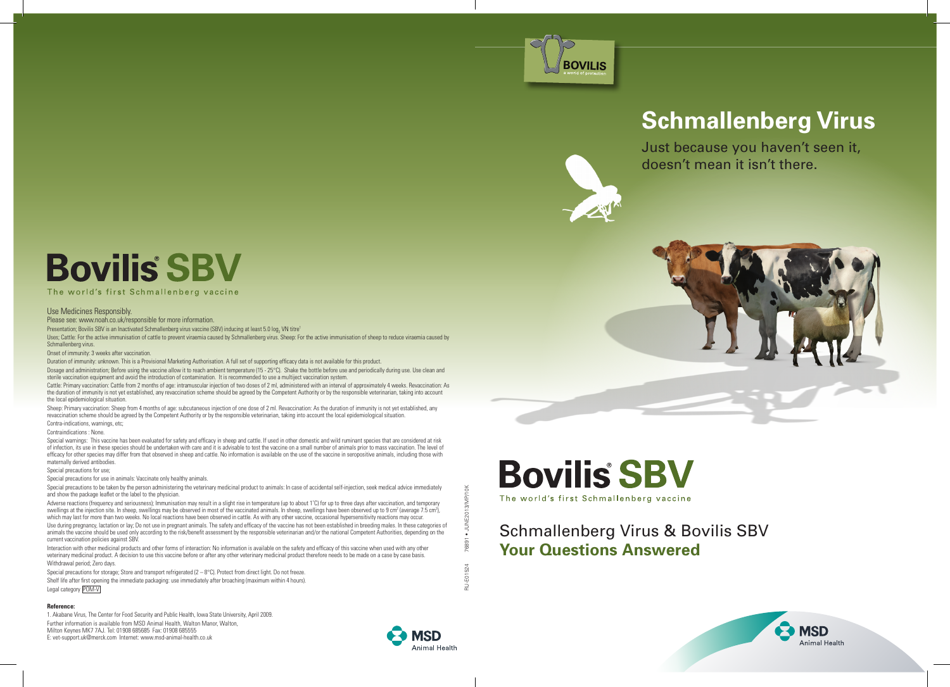

# **Schmallenberg Virus**

Just because you haven't seen it, doesn't mean it isn't there.





## Schmallenberg Virus & Bovilis SBV **Your Questions Answered**



# **Bovilis** SBV

### The world's first Schmallenberg vaccine

### Use Medicines Responsibly.

Please see: www.noah.co.uk/responsible for more information.

Presentation; Bovilis SBV is an Inactivated Schmallenberg virus vaccine (SBV) inducing at least 5.0 log $_2$  VN titre $^{\rm l}$ 

Uses; Cattle: For the active immunisation of cattle to prevent viraemia caused by Schmallenberg virus. Sheep: For the active immunisation of sheep to reduce viraemia caused by Schmallenberg virus.

Onset of immunity: 3 weeks after vaccination.

Duration of immunity: unknown. This is a Provisional Marketing Authorisation. A full set of supporting efficacy data is not available for this product

Dosage and administration; Before using the vaccine allow it to reach ambient temperature (15 - 25°C). Shake the bottle before use and periodically during use. Use clean and sterile vaccination equipment and avoid the introduction of contamination. It is recommended to use a multiject vaccination system.

Cattle: Primary vaccination: Cattle from 2 months of age: intramuscular injection of two doses of 2 ml, administered with an interval of approximately 4 weeks. Revaccination: As the duration of immunity is not yet established, any revaccination scheme should be agreed by the Competent Authority or by the responsible veterinarian, taking into account the local epidemiological situation.

Sheep: Primary vaccination: Sheep from 4 months of age: subcutaneous injection of one dose of 2 ml. Revaccination: As the duration of immunity is not yet established, any revaccination scheme should be agreed by the Competent Authority or by the responsible veterinarian, taking into account the local epidemiological situation. Contra-indications, warnings, etc;

Contraindications : None.

Special warnings: This vaccine has been evaluated for safety and efficacy in sheep and cattle. If used in other domestic and wild ruminant species that are considered at risk of infection, its use in these species should be undertaken with care and it is advisable to test the vaccine on a small number of animals prior to mass vaccination. The level of efficacy for other species may differ from that observed in sheep and cattle. No information is available on the use of the vaccine in seropositive animals, including those with maternally derived antibodies.

### Special precautions for use;

Special precautions for use in animals: Vaccinate only healthy animals.

Special precautions to be taken by the person administering the veterinary medicinal product to animals: In case of accidental self-injection, seek medical advice immediately and show the package leaflet or the label to the physician.

Adverse reactions (frequency and seriousness); Immunisation may result in a slight rise in temperature (up to about 1°C) for up to three days after vaccination, and temporary swellings at the injection site. In sheep, swellings may be observed in most of the vaccinated animals. In sheep, swellings have been observed up to 9 cm<sup>2</sup> (average 7.5 cm<sup>2</sup>), which may last for more than two weeks. No local reactions have been observed in cattle. As with any other vaccine, occasional hypersensitivity reactions may occur. Use during pregnancy, lactation or lay; Do not use in pregnant animals. The safety and efficacy of the vaccine has not been established in breeding males. In these categories of animals the vaccine should be used only according to the risk/benefit assessment by the responsible veterinarian and/or the national Competent Authorities, depending on the current vaccination policies against SBV.

Interaction with other medicinal products and other forms of interaction: No information is available on the safety and efficacy of this vaccine when used with any other veterinary medicinal product. A decision to use this vaccine before or after any other veterinary medicinal product therefore needs to be made on a case by case basis. Withdrawal period; Zero days.

Special precautions for storage; Store and transport refrigerated  $(2 - 8^{\circ}C)$ . Protect from direct light. Do not freeze. Shelf life after first opening the immediate packaging: use immediately after broaching (maximum within 4 hours). Legal category POM-V

### **Reference:**

1. Akabane Virus, The Center for Food Security and Public Health, Iowa State University, April 2009. Further information is available from MSD Animal Health, Walton Manor, Walton, Milton Keynes MK7 7AJ. Tel: 01908 685685 Fax: 01908 685555 E: vet-support.uk@merck.com Internet: www.msd-animal-health.co.uk



RU-E01524 76891 • JUNE2013/MP/10K